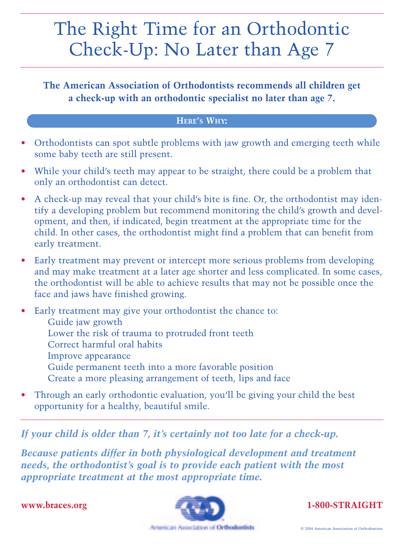## The Right Time for an Orthodontic Check-Up: No Later than Age 7

**The American Association of Orthodontists recommends all children get a check-up with an orthodontic specialist no later than age 7.** 

## **HERE'S WHY:**

- Orthodontists can spot subtle problems with jaw growth and emerging teeth while some baby teeth are still present.
- While your child's teeth may appear to be straight, there could be a problem that only an orthodontist can detect.
- A check-up may reveal that your child's bite is fine. Or, the orthodontist may identify a developing problem but recommend monitoring the child's growth and development, and then, if indicated, begin treatment at the appropriate time for the child. In other cases, the orthodontist might find a problem that can benefit from early treatment.
- Early treatment may prevent or intercept more serious problems from developing and may make treatment at a later age shorter and less complicated. In some cases, the orthodontist will be able to achieve results that may not be possible once the face and jaws have finished growing.

Early treatment may give your orthodontist the chance to: Guide jaw growth Lower the risk of trauma to protruded front teeth Correct harmful oral habits Improve appearance Guide permanent teeth into a more favorable position Create a more pleasing arrangement of teeth, lips and face

• Through an early orthodontic evaluation, you'll be giving your child the best opportunity for a healthy, beautiful smile.

*If your child is older than 7, it's certainly not too late for a check-up.* 

*Because patients differ in both physiological development and treatment needs, the orthodontist's goal is to provide each patient with the most appropriate treatment at the most appropriate time.*

**www.braces.org**



**1-800-STRAIGHT**

American Association of Orthodomists

© 2004 American Association of Orthodontists